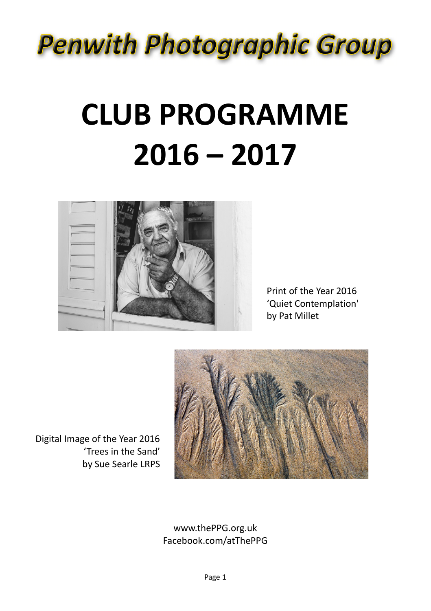## **Penwith Photographic Group**

# **CLUB PROGRAMME 2016 – 2017**



Print of the Year 2016 'Quiet Contemplation' by Pat Millet



Digital Image of the Year 2016 'Trees in the Sand' by Sue Searle LRPS

#### www.thePPG.org.uk Facebook.com/atThePPG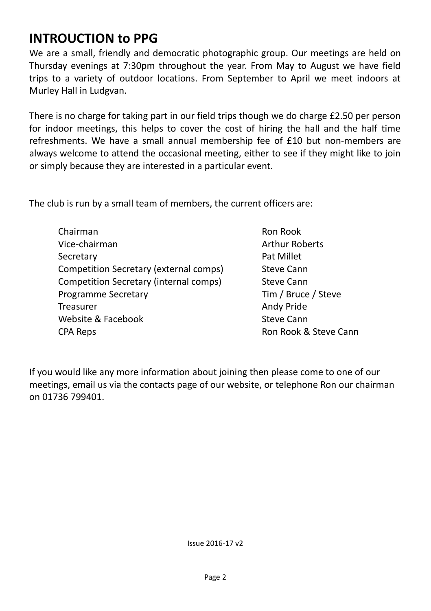#### **INTROUCTION to PPG**

We are a small, friendly and democratic photographic group. Our meetings are held on Thursday evenings at 7:30pm throughout the year. From May to August we have field trips to a variety of outdoor locations. From September to April we meet indoors at Murley Hall in Ludgvan.

There is no charge for taking part in our field trips though we do charge £2.50 per person for indoor meetings, this helps to cover the cost of hiring the hall and the half time refreshments. We have a small annual membership fee of £10 but non-members are always welcome to attend the occasional meeting, either to see if they might like to join or simply because they are interested in a particular event.

The club is run by a small team of members, the current officers are:

- Chairman Vice-chairman Secretary Competition Secretary (external comps) Competition Secretary (internal comps) Programme Secretary Treasurer Website & Facebook CPA Reps
- Ron Rook Arthur Roberts Pat Millet Steve Cann Steve Cann Tim / Bruce / Steve Andy Pride Steve Cann Ron Rook & Steve Cann

If you would like any more information about joining then please come to one of our meetings, email us via the contacts page of our website, or telephone Ron our chairman on 01736 799401.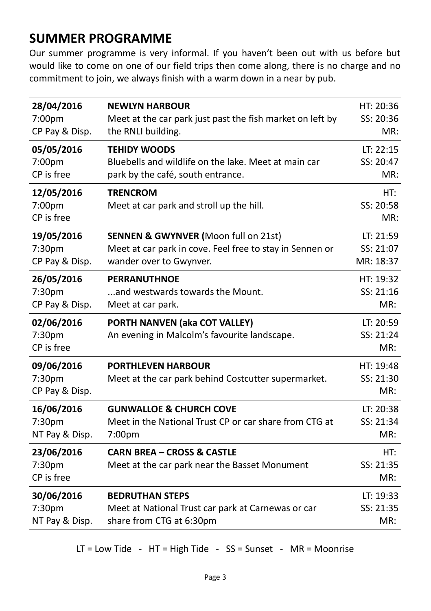#### **SUMMER PROGRAMME**

Our summer programme is very informal. If you haven't been out with us before but would like to come on one of our field trips then come along, there is no charge and no commitment to join, we always finish with a warm down in a near by pub.

| 28/04/2016                             | <b>NEWLYN HARBOUR</b>                                                                  | HT: 20:36                     |
|----------------------------------------|----------------------------------------------------------------------------------------|-------------------------------|
| 7:00pm                                 | Meet at the car park just past the fish market on left by                              | SS: 20:36                     |
| CP Pay & Disp.                         | the RNLI building.                                                                     | MR:                           |
| 05/05/2016                             | <b>TEHIDY WOODS</b>                                                                    | LT: 22:15                     |
| 7:00pm                                 | Bluebells and wildlife on the lake. Meet at main car                                   | SS: 20:47                     |
| CP is free                             | park by the café, south entrance.                                                      | MR:                           |
| 12/05/2016<br>7:00pm<br>CP is free     | <b>TRENCROM</b><br>Meet at car park and stroll up the hill.                            | HT:<br>SS: 20:58<br>MR:       |
| 19/05/2016                             | <b>SENNEN &amp; GWYNVER (Moon full on 21st)</b>                                        | LT: 21:59                     |
| 7:30pm                                 | Meet at car park in cove. Feel free to stay in Sennen or                               | SS: 21:07                     |
| CP Pay & Disp.                         | wander over to Gwynver.                                                                | MR: 18:37                     |
| 26/05/2016                             | <b>PERRANUTHNOE</b>                                                                    | HT: 19:32                     |
| 7:30 <sub>pm</sub>                     | and westwards towards the Mount.                                                       | SS: 21:16                     |
| CP Pay & Disp.                         | Meet at car park.                                                                      | MR:                           |
| 02/06/2016<br>7:30pm<br>CP is free     | PORTH NANVEN (aka COT VALLEY)<br>An evening in Malcolm's favourite landscape.          | LT: 20:59<br>SS: 21:24<br>MR: |
| 09/06/2016<br>7:30pm<br>CP Pay & Disp. | <b>PORTHLEVEN HARBOUR</b><br>Meet at the car park behind Costcutter supermarket.       | HT: 19:48<br>SS: 21:30<br>MR: |
| 16/06/2016                             | <b>GUNWALLOE &amp; CHURCH COVE</b>                                                     | LT: 20:38                     |
| 7:30pm                                 | Meet in the National Trust CP or car share from CTG at                                 | SS: 21:34                     |
| NT Pay & Disp.                         | 7:00pm                                                                                 | MR:                           |
| 23/06/2016<br>7:30pm<br>CP is free     | <b>CARN BREA - CROSS &amp; CASTLE</b><br>Meet at the car park near the Basset Monument | HT:<br>SS: 21:35<br>MR:       |
| 30/06/2016                             | <b>BEDRUTHAN STEPS</b>                                                                 | LT: 19:33                     |
| 7:30 <sub>pm</sub>                     | Meet at National Trust car park at Carnewas or car                                     | SS: 21:35                     |
| NT Pay & Disp.                         | share from CTG at 6:30pm                                                               | MR:                           |

LT = Low Tide -  $HT = High$  Tide - SS = Sunset - MR = Moonrise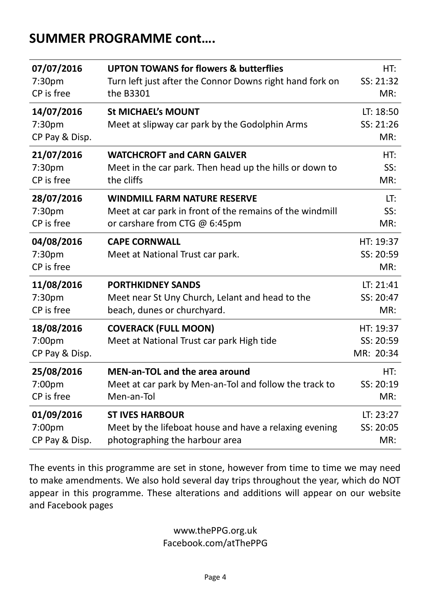#### **SUMMER PROGRAMME cont….**

| 07/07/2016                             | <b>UPTON TOWANS for flowers &amp; butterflies</b>                           | HT:                                 |
|----------------------------------------|-----------------------------------------------------------------------------|-------------------------------------|
| 7:30pm                                 | Turn left just after the Connor Downs right hand fork on                    | SS: 21:32                           |
| CP is free                             | the B3301                                                                   | MR:                                 |
| 14/07/2016<br>7:30pm<br>CP Pay & Disp. | <b>St MICHAEL's MOUNT</b><br>Meet at slipway car park by the Godolphin Arms | LT: 18:50<br>SS: 21:26<br>MR:       |
| 21/07/2016                             | <b>WATCHCROFT and CARN GALVER</b>                                           | HT:                                 |
| 7:30pm                                 | Meet in the car park. Then head up the hills or down to                     | SS:                                 |
| CP is free                             | the cliffs                                                                  | MR:                                 |
| 28/07/2016                             | <b>WINDMILL FARM NATURE RESERVE</b>                                         | LT:                                 |
| 7:30 <sub>pm</sub>                     | Meet at car park in front of the remains of the windmill                    | SS:                                 |
| CP is free                             | or carshare from CTG @ 6:45pm                                               | MR:                                 |
| 04/08/2016<br>7:30pm<br>CP is free     | <b>CAPE CORNWALL</b><br>Meet at National Trust car park.                    | HT: 19:37<br>SS: 20:59<br>MR:       |
| 11/08/2016                             | <b>PORTHKIDNEY SANDS</b>                                                    | LT: 21:41                           |
| 7:30pm                                 | Meet near St Uny Church, Lelant and head to the                             | SS: 20:47                           |
| CP is free                             | beach, dunes or churchyard.                                                 | MR:                                 |
| 18/08/2016<br>7:00pm<br>CP Pay & Disp. | <b>COVERACK (FULL MOON)</b><br>Meet at National Trust car park High tide    | HT: 19:37<br>SS: 20:59<br>MR: 20:34 |
| 25/08/2016                             | <b>MEN-an-TOL and the area around</b>                                       | HT:                                 |
| 7:00pm                                 | Meet at car park by Men-an-Tol and follow the track to                      | SS: 20:19                           |
| CP is free                             | Men-an-Tol                                                                  | MR:                                 |
| 01/09/2016                             | <b>ST IVES HARBOUR</b>                                                      | LT: 23:27                           |
| 7:00pm                                 | Meet by the lifeboat house and have a relaxing evening                      | SS: 20:05                           |
| CP Pay & Disp.                         | photographing the harbour area                                              | MR:                                 |

The events in this programme are set in stone, however from time to time we may need to make amendments. We also hold several day trips throughout the year, which do NOT appear in this programme. These alterations and additions will appear on our website and Facebook pages

> www.thePPG.org.uk Facebook.com/atThePPG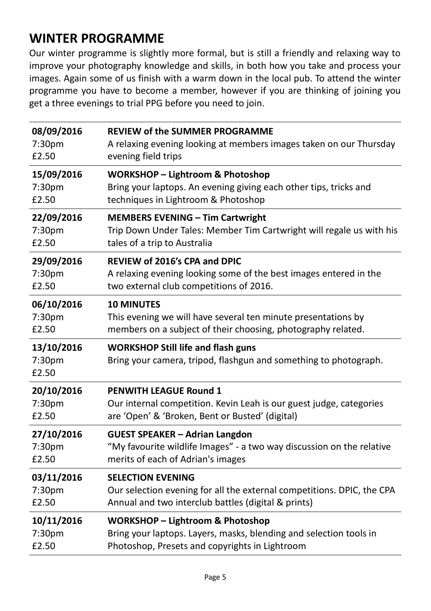#### **WINTER PROGRAMME**

Our winter programme is slightly more formal, but is still a friendly and relaxing way to improve your photography knowledge and skills, in both how you take and process your images. Again some of us finish with a warm down in the local pub. To attend the winter programme you have to become a member, however if you are thinking of joining you get a three evenings to trial PPG before you need to join.

| 08/09/2016                    | <b>REVIEW of the SUMMER PROGRAMME</b>                                                                         |
|-------------------------------|---------------------------------------------------------------------------------------------------------------|
| 7:30pm                        | A relaxing evening looking at members images taken on our Thursday                                            |
| £2.50                         | evening field trips                                                                                           |
| 15/09/2016                    | <b>WORKSHOP - Lightroom &amp; Photoshop</b>                                                                   |
| 7:30 <sub>pm</sub>            | Bring your laptops. An evening giving each other tips, tricks and                                             |
| £2.50                         | techniques in Lightroom & Photoshop                                                                           |
| 22/09/2016                    | <b>MEMBERS EVENING - Tim Cartwright</b>                                                                       |
| 7:30pm                        | Trip Down Under Tales: Member Tim Cartwright will regale us with his                                          |
| £2.50                         | tales of a trip to Australia                                                                                  |
| 29/09/2016                    | REVIEW of 2016's CPA and DPIC                                                                                 |
| 7:30pm                        | A relaxing evening looking some of the best images entered in the                                             |
| £2.50                         | two external club competitions of 2016.                                                                       |
| 06/10/2016                    | <b>10 MINUTES</b>                                                                                             |
| 7:30pm                        | This evening we will have several ten minute presentations by                                                 |
| £2.50                         | members on a subject of their choosing, photography related.                                                  |
| 13/10/2016<br>7:30pm<br>£2.50 | <b>WORKSHOP Still life and flash guns</b><br>Bring your camera, tripod, flashgun and something to photograph. |
| 20/10/2016                    | PENWITH LEAGUE Round 1                                                                                        |
| 7:30pm                        | Our internal competition. Kevin Leah is our guest judge, categories                                           |
| £2.50                         | are 'Open' & 'Broken, Bent or Busted' (digital)                                                               |
| 27/10/2016                    | <b>GUEST SPEAKER - Adrian Langdon</b>                                                                         |
| 7:30pm                        | "My favourite wildlife Images" - a two way discussion on the relative                                         |
| £2.50                         | merits of each of Adrian's images                                                                             |
| 03/11/2016                    | <b>SELECTION EVENING</b>                                                                                      |
| 7:30pm                        | Our selection evening for all the external competitions. DPIC, the CPA                                        |
| £2.50                         | Annual and two interclub battles (digital & prints)                                                           |
| 10/11/2016                    | <b>WORKSHOP - Lightroom &amp; Photoshop</b>                                                                   |
| 7:30pm                        | Bring your laptops. Layers, masks, blending and selection tools in                                            |
| £2.50                         | Photoshop, Presets and copyrights in Lightroom                                                                |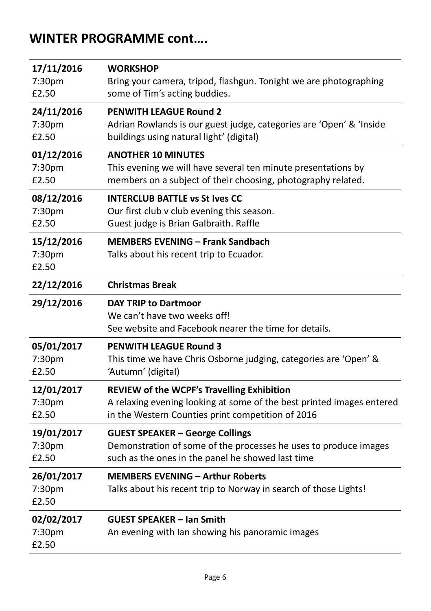#### **WINTER PROGRAMME cont….**

| 17/11/2016                    | <b>WORKSHOP</b>                                                                                                      |
|-------------------------------|----------------------------------------------------------------------------------------------------------------------|
| 7:30pm                        | Bring your camera, tripod, flashgun. Tonight we are photographing                                                    |
| £2.50                         | some of Tim's acting buddies.                                                                                        |
| 24/11/2016                    | <b>PENWITH LEAGUE Round 2</b>                                                                                        |
| 7:30pm                        | Adrian Rowlands is our guest judge, categories are 'Open' & 'Inside                                                  |
| £2.50                         | buildings using natural light' (digital)                                                                             |
| 01/12/2016                    | <b>ANOTHER 10 MINUTES</b>                                                                                            |
| 7:30pm                        | This evening we will have several ten minute presentations by                                                        |
| £2.50                         | members on a subject of their choosing, photography related.                                                         |
| 08/12/2016                    | <b>INTERCLUB BATTLE vs St Ives CC</b>                                                                                |
| 7:30pm                        | Our first club v club evening this season.                                                                           |
| £2.50                         | Guest judge is Brian Galbraith. Raffle                                                                               |
| 15/12/2016<br>7:30pm<br>£2.50 | <b>MEMBERS EVENING - Frank Sandbach</b><br>Talks about his recent trip to Ecuador.                                   |
| 22/12/2016                    | <b>Christmas Break</b>                                                                                               |
| 29/12/2016                    | <b>DAY TRIP to Dartmoor</b><br>We can't have two weeks off!<br>See website and Facebook nearer the time for details. |
| 05/01/2017                    | <b>PENWITH LEAGUE Round 3</b>                                                                                        |
| 7:30pm                        | This time we have Chris Osborne judging, categories are 'Open' &                                                     |
| £2.50                         | 'Autumn' (digital)                                                                                                   |
| 12/01/2017                    | <b>REVIEW of the WCPF's Travelling Exhibition</b>                                                                    |
| 7:30pm                        | A relaxing evening looking at some of the best printed images entered                                                |
| £2.50                         | in the Western Counties print competition of 2016                                                                    |
| 19/01/2017                    | <b>GUEST SPEAKER - George Collings</b>                                                                               |
| 7:30pm                        | Demonstration of some of the processes he uses to produce images                                                     |
| £2.50                         | such as the ones in the panel he showed last time                                                                    |
| 26/01/2017<br>7:30pm<br>£2.50 | <b>MEMBERS EVENING - Arthur Roberts</b><br>Talks about his recent trip to Norway in search of those Lights!          |
| 02/02/2017<br>7:30pm<br>£2.50 | <b>GUEST SPEAKER - Ian Smith</b><br>An evening with Ian showing his panoramic images                                 |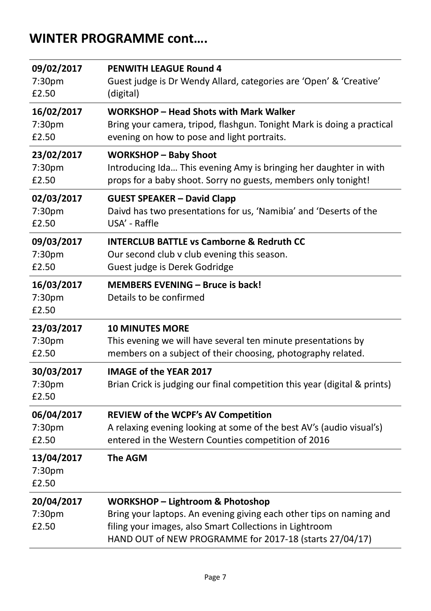### **WINTER PROGRAMME cont….**

| 09/02/2017                    | <b>PENWITH LEAGUE Round 4</b>                                                                                                                                                                                                            |
|-------------------------------|------------------------------------------------------------------------------------------------------------------------------------------------------------------------------------------------------------------------------------------|
| 7:30pm                        | Guest judge is Dr Wendy Allard, categories are 'Open' & 'Creative'                                                                                                                                                                       |
| £2.50                         | (digital)                                                                                                                                                                                                                                |
| 16/02/2017                    | WORKSHOP - Head Shots with Mark Walker                                                                                                                                                                                                   |
| 7:30pm                        | Bring your camera, tripod, flashgun. Tonight Mark is doing a practical                                                                                                                                                                   |
| £2.50                         | evening on how to pose and light portraits.                                                                                                                                                                                              |
| 23/02/2017                    | <b>WORKSHOP - Baby Shoot</b>                                                                                                                                                                                                             |
| 7:30pm                        | Introducing Ida This evening Amy is bringing her daughter in with                                                                                                                                                                        |
| £2.50                         | props for a baby shoot. Sorry no guests, members only tonight!                                                                                                                                                                           |
| 02/03/2017                    | <b>GUEST SPEAKER - David Clapp</b>                                                                                                                                                                                                       |
| 7:30pm                        | Daivd has two presentations for us, 'Namibia' and 'Deserts of the                                                                                                                                                                        |
| £2.50                         | USA' - Raffle                                                                                                                                                                                                                            |
| 09/03/2017                    | <b>INTERCLUB BATTLE vs Camborne &amp; Redruth CC</b>                                                                                                                                                                                     |
| 7:30pm                        | Our second club v club evening this season.                                                                                                                                                                                              |
| £2.50                         | Guest judge is Derek Godridge                                                                                                                                                                                                            |
| 16/03/2017<br>7:30pm<br>£2.50 | <b>MEMBERS EVENING - Bruce is back!</b><br>Details to be confirmed                                                                                                                                                                       |
| 23/03/2017                    | <b>10 MINUTES MORE</b>                                                                                                                                                                                                                   |
| 7:30pm                        | This evening we will have several ten minute presentations by                                                                                                                                                                            |
| £2.50                         | members on a subject of their choosing, photography related.                                                                                                                                                                             |
| 30/03/2017<br>7:30pm<br>£2.50 | <b>IMAGE of the YEAR 2017</b><br>Brian Crick is judging our final competition this year (digital & prints)                                                                                                                               |
| 06/04/2017                    | REVIEW of the WCPF's AV Competition                                                                                                                                                                                                      |
| 7:30pm                        | A relaxing evening looking at some of the best AV's (audio visual's)                                                                                                                                                                     |
| £2.50                         | entered in the Western Counties competition of 2016                                                                                                                                                                                      |
| 13/04/2017<br>7:30pm<br>£2.50 | <b>The AGM</b>                                                                                                                                                                                                                           |
| 20/04/2017<br>7:30pm<br>£2.50 | <b>WORKSHOP - Lightroom &amp; Photoshop</b><br>Bring your laptops. An evening giving each other tips on naming and<br>filing your images, also Smart Collections in Lightroom<br>HAND OUT of NEW PROGRAMME for 2017-18 (starts 27/04/17) |